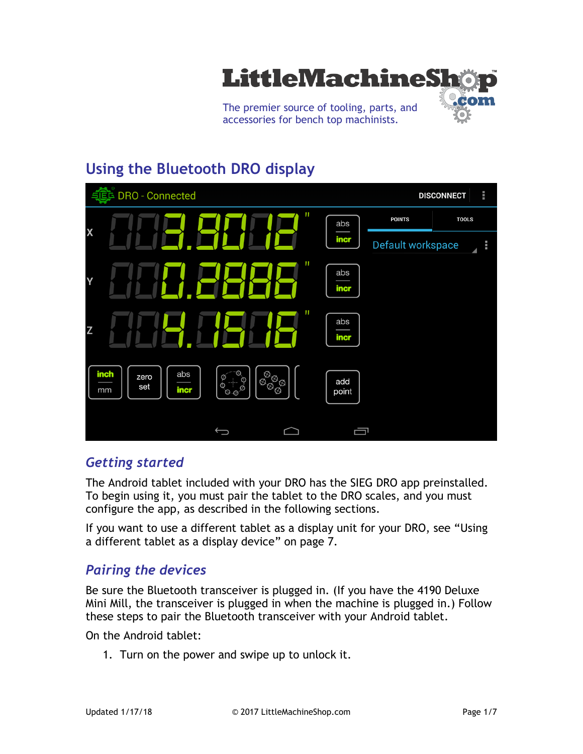

# **Using the Bluetooth DRO display**

| DRO - Connected                               |                                                                     |              |                   | a a a<br><b>DISCONNECT</b> |
|-----------------------------------------------|---------------------------------------------------------------------|--------------|-------------------|----------------------------|
|                                               | П                                                                   | abs          | <b>POINTS</b>     | <b>TOOLS</b>               |
| X                                             |                                                                     | incr         | Default workspace | B                          |
| Y                                             | $\mathbf{H}$                                                        | abs<br>incr  |                   |                            |
| Z                                             | П                                                                   | abs<br>incr  |                   |                            |
| I<br>inch<br>abs<br>zero<br>set<br>incr<br>mm | $\otimes$<br>'⊗'<br>⊕<br>'⊗<br>$\mathbb{Q}$<br>Ø<br>Ø<br>⊗<br>$O_0$ | add<br>point |                   |                            |
|                                               | $\qquad \qquad \Longleftrightarrow$                                 | 卣            |                   |                            |

## *Getting started*

The Android tablet included with your DRO has the SIEG DRO app preinstalled. To begin using it, you must pair the tablet to the DRO scales, and you must configure the app, as described in the following sections.

If you want to use a different tablet as a display unit for your DRO, see "Using a different tablet as a display device" on page 7.

## *Pairing the devices*

Be sure the Bluetooth transceiver is plugged in. (If you have the 4190 Deluxe Mini Mill, the transceiver is plugged in when the machine is plugged in.) Follow these steps to pair the Bluetooth transceiver with your Android tablet.

On the Android tablet:

1. Turn on the power and swipe up to unlock it.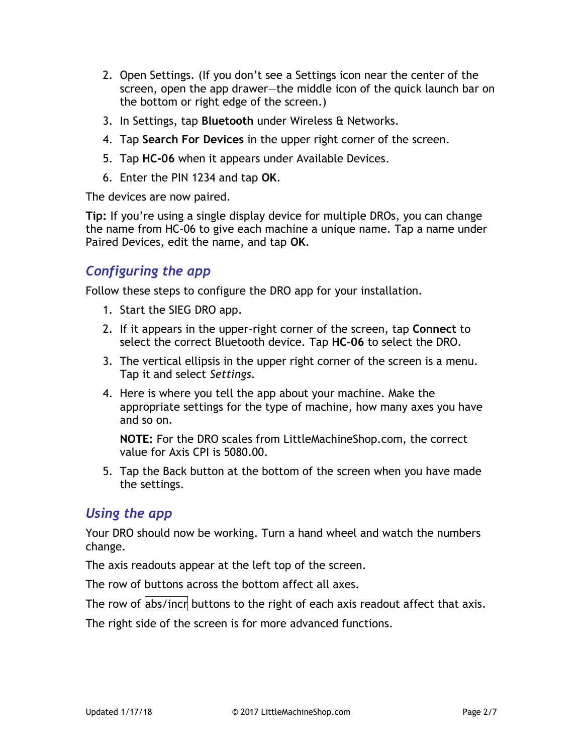- 2. Open Settings. (If you don't see a Settings icon near the center of the screen, open the app drawer—the middle icon of the quick launch bar on the bottom or right edge of the screen.)
- 3. In Settings, tap **Bluetooth** under Wireless & Networks.
- 4. Tap **Search For Devices** in the upper right corner of the screen.
- 5. Tap **HC-06** when it appears under Available Devices.
- 6. Enter the PIN 1234 and tap **OK**.

The devices are now paired.

**Tip:** If you're using a single display device for multiple DROs, you can change the name from HC-06 to give each machine a unique name. Tap a name under Paired Devices, edit the name, and tap **OK**.

## *Configuring the app*

Follow these steps to configure the DRO app for your installation.

- 1. Start the SIEG DRO app.
- 2. If it appears in the upper-right corner of the screen, tap **Connect** to select the correct Bluetooth device. Tap **HC-06** to select the DRO.
- 3. The vertical ellipsis in the upper right corner of the screen is a menu. Tap it and select *Settings*.
- 4. Here is where you tell the app about your machine. Make the appropriate settings for the type of machine, how many axes you have and so on.

**NOTE:** For the DRO scales from LittleMachineShop.com, the correct value for Axis CPI is 5080.00.

5. Tap the Back button at the bottom of the screen when you have made the settings.

## *Using the app*

Your DRO should now be working. Turn a hand wheel and watch the numbers change.

The axis readouts appear at the left top of the screen.

The row of buttons across the bottom affect all axes.

The row of  $\frac{1}{4}$  abs/incr buttons to the right of each axis readout affect that axis.

The right side of the screen is for more advanced functions.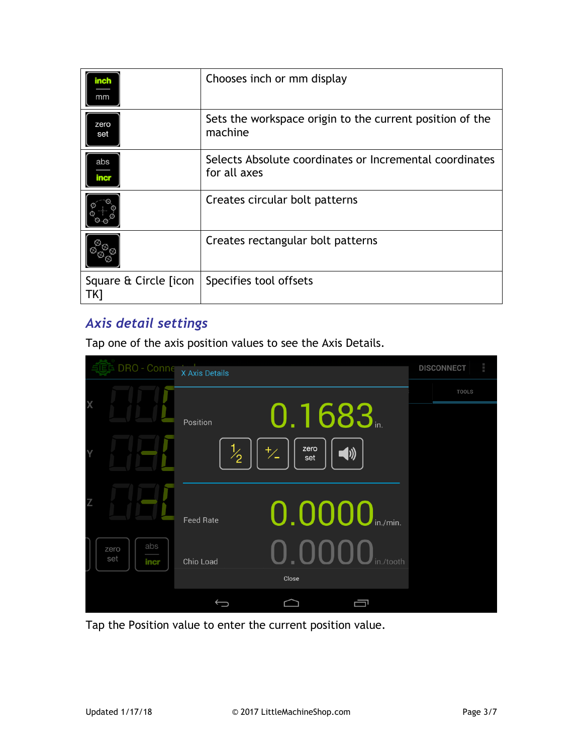| inch<br>mm                    | Chooses inch or mm display                                              |
|-------------------------------|-------------------------------------------------------------------------|
| zero<br>set                   | Sets the workspace origin to the current position of the<br>machine     |
| abs<br>ma                     | Selects Absolute coordinates or Incremental coordinates<br>for all axes |
|                               | Creates circular bolt patterns                                          |
|                               | Creates rectangular bolt patterns                                       |
| Square & Circle [icon]<br>TK1 | Specifies tool offsets                                                  |

# *Axis detail settings*

Tap one of the axis position values to see the Axis Details.

|   | DRO - Conne                | X Axis Details                                       | <b>DISCONNECT</b> | ٥ |
|---|----------------------------|------------------------------------------------------|-------------------|---|
|   |                            |                                                      | <b>TOOLS</b>      |   |
| X |                            | 0.1683<br>Position                                   |                   |   |
|   |                            | zero<br>$\frac{1}{2}$<br>$\overline{V}$<br>◀ッ<br>set |                   |   |
|   |                            |                                                      |                   |   |
|   |                            | 0.0000 in./min.<br><b>Feed Rate</b>                  |                   |   |
|   | abs<br>zero<br>set<br>incr | 0.0000<br>in./tooth<br>Chip Load<br>Close            |                   |   |
|   |                            |                                                      |                   |   |

Tap the Position value to enter the current position value.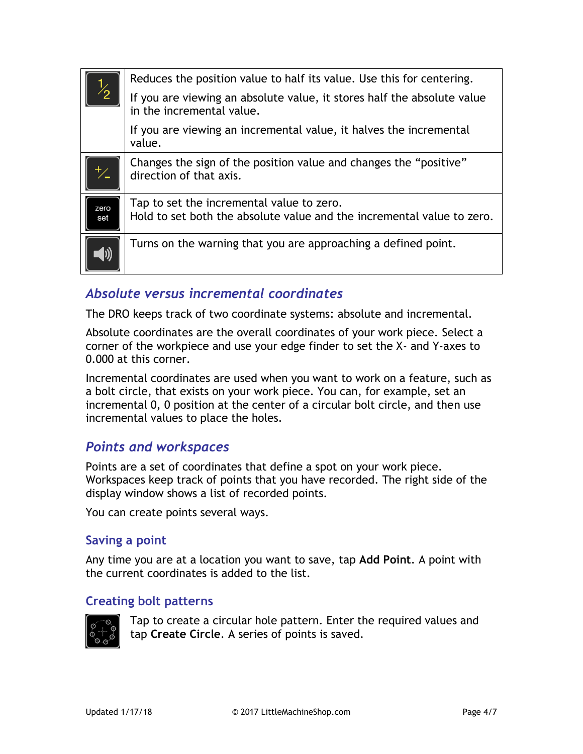| $\frac{1}{2}$ | Reduces the position value to half its value. Use this for centering.                                               |
|---------------|---------------------------------------------------------------------------------------------------------------------|
|               | If you are viewing an absolute value, it stores half the absolute value<br>in the incremental value.                |
|               | If you are viewing an incremental value, it halves the incremental<br>value.                                        |
|               | Changes the sign of the position value and changes the "positive"<br>direction of that axis.                        |
| zero<br>set   | Tap to set the incremental value to zero.<br>Hold to set both the absolute value and the incremental value to zero. |
|               | Turns on the warning that you are approaching a defined point.                                                      |

## *Absolute versus incremental coordinates*

The DRO keeps track of two coordinate systems: absolute and incremental.

Absolute coordinates are the overall coordinates of your work piece. Select a corner of the workpiece and use your edge finder to set the X- and Y-axes to 0.000 at this corner.

Incremental coordinates are used when you want to work on a feature, such as a bolt circle, that exists on your work piece. You can, for example, set an incremental 0, 0 position at the center of a circular bolt circle, and then use incremental values to place the holes.

## *Points and workspaces*

Points are a set of coordinates that define a spot on your work piece. Workspaces keep track of points that you have recorded. The right side of the display window shows a list of recorded points.

You can create points several ways.

#### **Saving a point**

Any time you are at a location you want to save, tap **Add Point**. A point with the current coordinates is added to the list.

#### **Creating bolt patterns**



Tap to create a circular hole pattern. Enter the required values and tap **Create Circle**. A series of points is saved.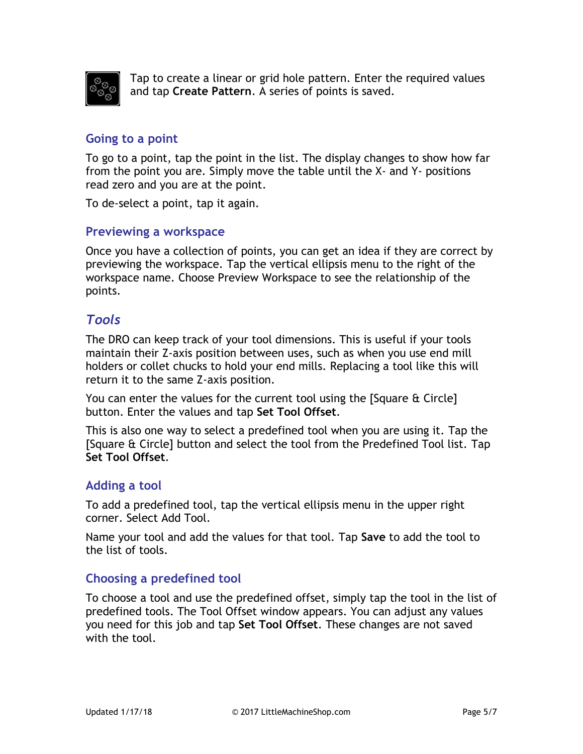

Tap to create a linear or grid hole pattern. Enter the required values and tap **Create Pattern**. A series of points is saved.

#### **Going to a point**

To go to a point, tap the point in the list. The display changes to show how far from the point you are. Simply move the table until the X- and Y- positions read zero and you are at the point.

To de-select a point, tap it again.

#### **Previewing a workspace**

Once you have a collection of points, you can get an idea if they are correct by previewing the workspace. Tap the vertical ellipsis menu to the right of the workspace name. Choose Preview Workspace to see the relationship of the points.

## *Tools*

The DRO can keep track of your tool dimensions. This is useful if your tools maintain their Z-axis position between uses, such as when you use end mill holders or collet chucks to hold your end mills. Replacing a tool like this will return it to the same Z-axis position.

You can enter the values for the current tool using the [Square & Circle] button. Enter the values and tap **Set Tool Offset**.

This is also one way to select a predefined tool when you are using it. Tap the [Square & Circle] button and select the tool from the Predefined Tool list. Tap **Set Tool Offset**.

#### **Adding a tool**

To add a predefined tool, tap the vertical ellipsis menu in the upper right corner. Select Add Tool.

Name your tool and add the values for that tool. Tap **Save** to add the tool to the list of tools.

#### **Choosing a predefined tool**

To choose a tool and use the predefined offset, simply tap the tool in the list of predefined tools. The Tool Offset window appears. You can adjust any values you need for this job and tap **Set Tool Offset**. These changes are not saved with the tool.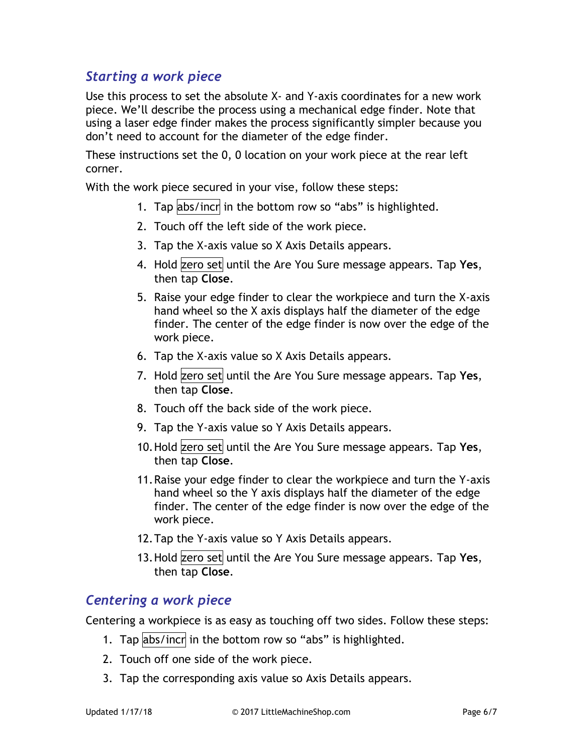# *Starting a work piece*

Use this process to set the absolute X- and Y-axis coordinates for a new work piece. We'll describe the process using a mechanical edge finder. Note that using a laser edge finder makes the process significantly simpler because you don't need to account for the diameter of the edge finder.

These instructions set the 0, 0 location on your work piece at the rear left corner.

With the work piece secured in your vise, follow these steps:

- 1. Tap abs/incr in the bottom row so "abs" is highlighted.
- 2. Touch off the left side of the work piece.
- 3. Tap the X-axis value so X Axis Details appears.
- 4. Hold zero set until the Are You Sure message appears. Tap Yes, then tap **Close**.
- 5. Raise your edge finder to clear the workpiece and turn the X-axis hand wheel so the X axis displays half the diameter of the edge finder. The center of the edge finder is now over the edge of the work piece.
- 6. Tap the X-axis value so X Axis Details appears.
- 7. Hold zero set until the Are You Sure message appears. Tap Yes, then tap **Close**.
- 8. Touch off the back side of the work piece.
- 9. Tap the Y-axis value so Y Axis Details appears.
- 10. Hold zero set until the Are You Sure message appears. Tap Yes, then tap **Close**.
- 11.Raise your edge finder to clear the workpiece and turn the Y-axis hand wheel so the Y axis displays half the diameter of the edge finder. The center of the edge finder is now over the edge of the work piece.
- 12.Tap the Y-axis value so Y Axis Details appears.
- 13. Hold zero set until the Are You Sure message appears. Tap Yes, then tap **Close**.

## *Centering a work piece*

Centering a workpiece is as easy as touching off two sides. Follow these steps:

- 1. Tap abs/incr in the bottom row so "abs" is highlighted.
- 2. Touch off one side of the work piece.
- 3. Tap the corresponding axis value so Axis Details appears.